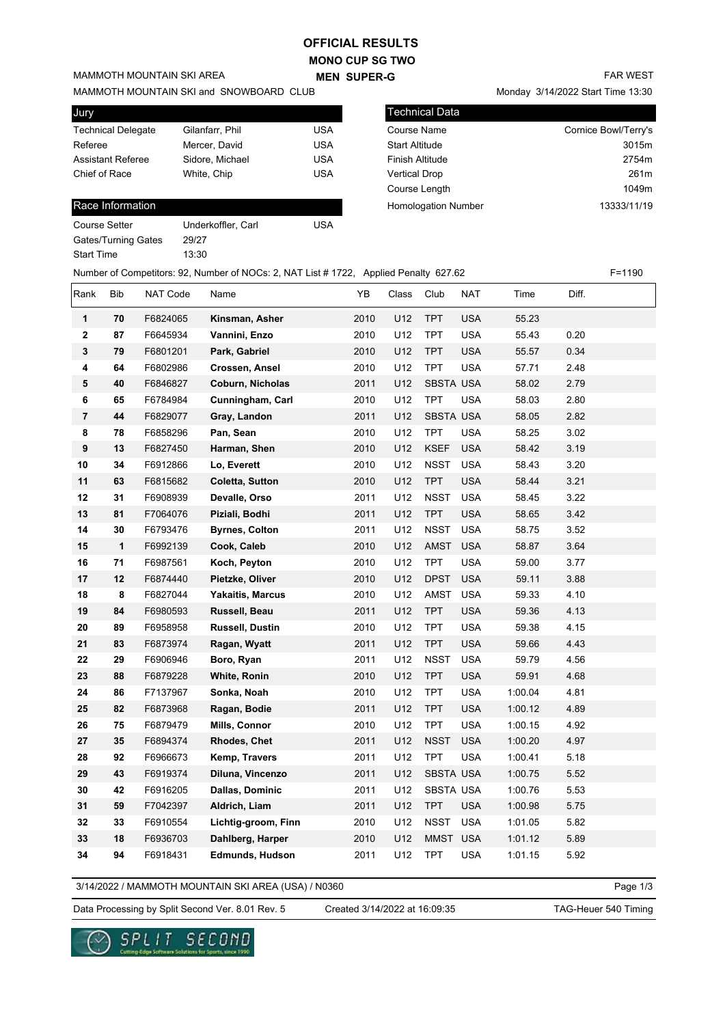## **OFFICIAL RESULTS**

**MONO CUP SG TWO MEN SUPER-G** 

# MAMMOTH MOUNTAIN SKI AREA

MAMMOTH MOUNTAIN SKI and SNOWBOARD CLUB

| Jury                      |                 |            |
|---------------------------|-----------------|------------|
| <b>Technical Delegate</b> | Gilanfarr, Phil | USA        |
| Referee                   | Mercer, David   | USA        |
| <b>Assistant Referee</b>  | Sidore, Michael | <b>USA</b> |
| Chief of Race             | White, Chip     | USA        |
|                           |                 |            |

#### Race Information

| Course Setter       | Underkoffler, Carl | USA |
|---------------------|--------------------|-----|
| Gates/Turning Gates | 29/27              |     |
| Start Time          | 13:30              |     |

|  |  |  | <b>FAR WEST</b> |
|--|--|--|-----------------|
|  |  |  |                 |

Monday 3/14/2022 Start Time 13:30

| <b>Technical Data</b>      |                      |
|----------------------------|----------------------|
| <b>Course Name</b>         | Cornice Bowl/Terry's |
| <b>Start Altitude</b>      | 3015m                |
| <b>Finish Altitude</b>     | 2754m                |
| <b>Vertical Drop</b>       | 261 <sub>m</sub>     |
| Course Length              | 1049m                |
| <b>Homologation Number</b> | 13333/11/19          |
|                            |                      |

|                         |              |          | Number of Competitors: 92, Number of NOCs: 2, NAT List # 1722, Applied Penalty 627.62 |      |       |             |            |         |       | $F = 1190$ |
|-------------------------|--------------|----------|---------------------------------------------------------------------------------------|------|-------|-------------|------------|---------|-------|------------|
| Rank                    | Bib          | NAT Code | Name                                                                                  | YB   | Class | Club        | NAT        | Time    | Diff. |            |
| 1                       | 70           | F6824065 | Kinsman, Asher                                                                        | 2010 | U12   | <b>TPT</b>  | <b>USA</b> | 55.23   |       |            |
| $\mathbf 2$             | 87           | F6645934 | Vannini, Enzo                                                                         | 2010 | U12   | <b>TPT</b>  | <b>USA</b> | 55.43   | 0.20  |            |
| $\mathbf 3$             | 79           | F6801201 | Park, Gabriel                                                                         | 2010 | U12   | <b>TPT</b>  | <b>USA</b> | 55.57   | 0.34  |            |
| 4                       | 64           | F6802986 | Crossen, Ansel                                                                        | 2010 | U12   | <b>TPT</b>  | <b>USA</b> | 57.71   | 2.48  |            |
| 5                       | 40           | F6846827 | Coburn, Nicholas                                                                      | 2011 | U12   | SBSTA USA   |            | 58.02   | 2.79  |            |
| 6                       | 65           | F6784984 | Cunningham, Carl                                                                      | 2010 | U12   | <b>TPT</b>  | <b>USA</b> | 58.03   | 2.80  |            |
| $\overline{\mathbf{7}}$ | 44           | F6829077 | Gray, Landon                                                                          | 2011 | U12   | SBSTA USA   |            | 58.05   | 2.82  |            |
| 8                       | 78           | F6858296 | Pan, Sean                                                                             | 2010 | U12   | <b>TPT</b>  | <b>USA</b> | 58.25   | 3.02  |            |
| 9                       | 13           | F6827450 | Harman, Shen                                                                          | 2010 | U12   | <b>KSEF</b> | <b>USA</b> | 58.42   | 3.19  |            |
| 10                      | 34           | F6912866 | Lo, Everett                                                                           | 2010 | U12   | <b>NSST</b> | <b>USA</b> | 58.43   | 3.20  |            |
| 11                      | 63           | F6815682 | Coletta, Sutton                                                                       | 2010 | U12   | <b>TPT</b>  | <b>USA</b> | 58.44   | 3.21  |            |
| 12                      | 31           | F6908939 | Devalle, Orso                                                                         | 2011 | U12   | <b>NSST</b> | <b>USA</b> | 58.45   | 3.22  |            |
| 13                      | 81           | F7064076 | Piziali, Bodhi                                                                        | 2011 | U12   | <b>TPT</b>  | <b>USA</b> | 58.65   | 3.42  |            |
| 14                      | 30           | F6793476 | <b>Byrnes, Colton</b>                                                                 | 2011 | U12   | <b>NSST</b> | <b>USA</b> | 58.75   | 3.52  |            |
| 15                      | $\mathbf{1}$ | F6992139 | Cook, Caleb                                                                           | 2010 | U12   | AMST        | <b>USA</b> | 58.87   | 3.64  |            |
| 16                      | 71           | F6987561 | Koch, Peyton                                                                          | 2010 | U12   | <b>TPT</b>  | <b>USA</b> | 59.00   | 3.77  |            |
| 17                      | 12           | F6874440 | Pietzke, Oliver                                                                       | 2010 | U12   | <b>DPST</b> | <b>USA</b> | 59.11   | 3.88  |            |
| 18                      | 8            | F6827044 | <b>Yakaitis, Marcus</b>                                                               | 2010 | U12   | AMST        | <b>USA</b> | 59.33   | 4.10  |            |
| 19                      | 84           | F6980593 | Russell, Beau                                                                         | 2011 | U12   | <b>TPT</b>  | <b>USA</b> | 59.36   | 4.13  |            |
| 20                      | 89           | F6958958 | Russell, Dustin                                                                       | 2010 | U12   | <b>TPT</b>  | <b>USA</b> | 59.38   | 4.15  |            |
| 21                      | 83           | F6873974 | Ragan, Wyatt                                                                          | 2011 | U12   | <b>TPT</b>  | <b>USA</b> | 59.66   | 4.43  |            |
| 22                      | 29           | F6906946 | Boro, Ryan                                                                            | 2011 | U12   | <b>NSST</b> | <b>USA</b> | 59.79   | 4.56  |            |
| 23                      | 88           | F6879228 | White, Ronin                                                                          | 2010 | U12   | <b>TPT</b>  | <b>USA</b> | 59.91   | 4.68  |            |
| 24                      | 86           | F7137967 | Sonka, Noah                                                                           | 2010 | U12   | <b>TPT</b>  | <b>USA</b> | 1:00.04 | 4.81  |            |
| 25                      | 82           | F6873968 | Ragan, Bodie                                                                          | 2011 | U12   | <b>TPT</b>  | <b>USA</b> | 1:00.12 | 4.89  |            |
| 26                      | 75           | F6879479 | Mills, Connor                                                                         | 2010 | U12   | <b>TPT</b>  | <b>USA</b> | 1:00.15 | 4.92  |            |
| 27                      | 35           | F6894374 | Rhodes, Chet                                                                          | 2011 | U12   | <b>NSST</b> | <b>USA</b> | 1:00.20 | 4.97  |            |
| 28                      | 92           | F6966673 | Kemp, Travers                                                                         | 2011 | U12   | <b>TPT</b>  | <b>USA</b> | 1:00.41 | 5.18  |            |
| 29                      | 43           | F6919374 | Diluna, Vincenzo                                                                      | 2011 | U12   | SBSTA USA   |            | 1:00.75 | 5.52  |            |
| 30                      | 42           | F6916205 | Dallas, Dominic                                                                       | 2011 | U12   | SBSTA USA   |            | 1:00.76 | 5.53  |            |
| 31                      | 59           | F7042397 | Aldrich, Liam                                                                         | 2011 | U12   | <b>TPT</b>  | <b>USA</b> | 1:00.98 | 5.75  |            |
| 32                      | 33           | F6910554 | Lichtig-groom, Finn                                                                   | 2010 | U12   | NSST        | <b>USA</b> | 1:01.05 | 5.82  |            |
| 33                      | 18           | F6936703 | Dahlberg, Harper                                                                      | 2010 | U12   | MMST USA    |            | 1:01.12 | 5.89  |            |
| 34                      | 94           | F6918431 | <b>Edmunds, Hudson</b>                                                                | 2011 | U12   | <b>TPT</b>  | USA        | 1:01.15 | 5.92  |            |

3/14/2022 / MAMMOTH MOUNTAIN SKI AREA (USA) / N0360

Page 1/3

Data Processing by Split Second Ver. 8.01 Rev. 5 Created 3/14/2022 at 16:09:35 TAG-Heuer 540 Timing

Created 3/14/2022 at 16:09:35

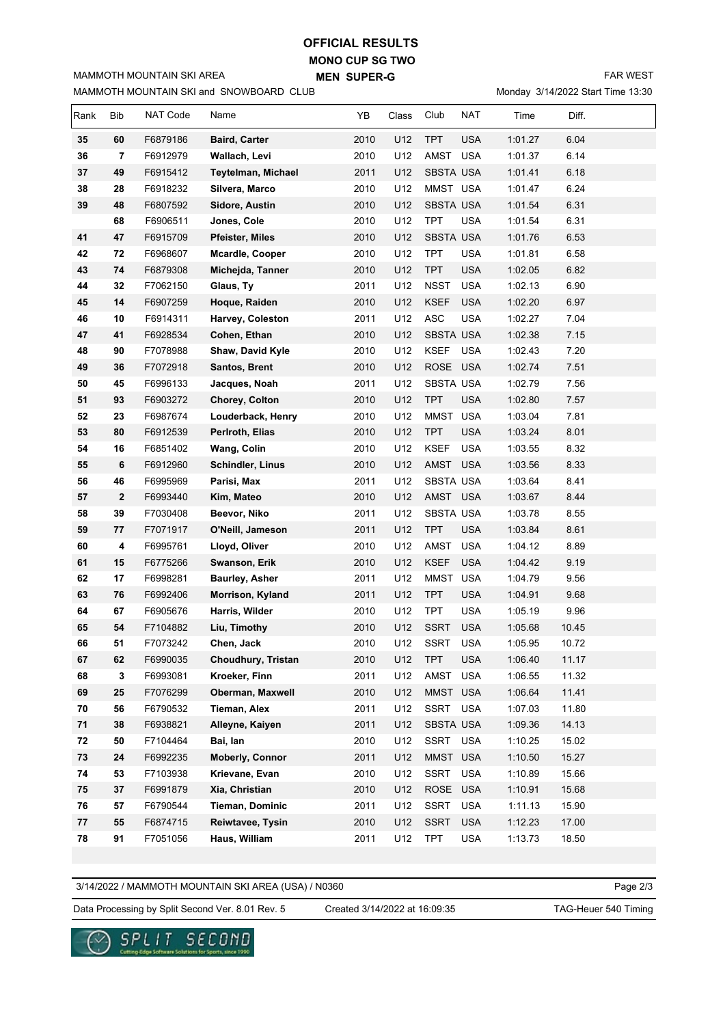#### **MONO CUP SG TWO MEN SUPER-G OFFICIAL RESULTS**

MAMMOTH MOUNTAIN SKI and SNOWBOARD CLUB MAMMOTH MOUNTAIN SKI AREA

FAR WEST

Monday 3/14/2022 Start Time 13:30

| Rank | Bib          | NAT Code | Name                   | YB   | Class | Club             | <b>NAT</b> | Time    | Diff. |  |
|------|--------------|----------|------------------------|------|-------|------------------|------------|---------|-------|--|
| 35   | 60           | F6879186 | <b>Baird, Carter</b>   | 2010 | U12   | <b>TPT</b>       | <b>USA</b> | 1:01.27 | 6.04  |  |
| 36   | 7            | F6912979 | Wallach, Levi          | 2010 | U12   | AMST             | <b>USA</b> | 1:01.37 | 6.14  |  |
| 37   | 49           | F6915412 | Teytelman, Michael     | 2011 | U12   | <b>SBSTA USA</b> |            | 1:01.41 | 6.18  |  |
| 38   | 28           | F6918232 | Silvera, Marco         | 2010 | U12   | MMST USA         |            | 1:01.47 | 6.24  |  |
| 39   | 48           | F6807592 | Sidore, Austin         | 2010 | U12   | <b>SBSTA USA</b> |            | 1:01.54 | 6.31  |  |
|      | 68           | F6906511 | Jones, Cole            | 2010 | U12   | <b>TPT</b>       | <b>USA</b> | 1:01.54 | 6.31  |  |
| 41   | 47           | F6915709 | Pfeister, Miles        | 2010 | U12   | SBSTA USA        |            | 1:01.76 | 6.53  |  |
| 42   | 72           | F6968607 | Mcardle, Cooper        | 2010 | U12   | <b>TPT</b>       | <b>USA</b> | 1:01.81 | 6.58  |  |
| 43   | 74           | F6879308 | Michejda, Tanner       | 2010 | U12   | <b>TPT</b>       | <b>USA</b> | 1:02.05 | 6.82  |  |
| 44   | 32           | F7062150 | Glaus, Ty              | 2011 | U12   | <b>NSST</b>      | <b>USA</b> | 1:02.13 | 6.90  |  |
| 45   | 14           | F6907259 | Hoque, Raiden          | 2010 | U12   | <b>KSEF</b>      | <b>USA</b> | 1:02.20 | 6.97  |  |
| 46   | 10           | F6914311 | Harvey, Coleston       | 2011 | U12   | ASC              | <b>USA</b> | 1:02.27 | 7.04  |  |
| 47   | 41           | F6928534 | Cohen, Ethan           | 2010 | U12   | <b>SBSTA USA</b> |            | 1:02.38 | 7.15  |  |
| 48   | 90           | F7078988 | Shaw, David Kyle       | 2010 | U12   | <b>KSEF</b>      | <b>USA</b> | 1:02.43 | 7.20  |  |
| 49   | 36           | F7072918 | Santos, Brent          | 2010 | U12   | ROSE USA         |            | 1:02.74 | 7.51  |  |
| 50   | 45           | F6996133 | Jacques, Noah          | 2011 | U12   | SBSTA USA        |            | 1:02.79 | 7.56  |  |
| 51   | 93           | F6903272 | Chorey, Colton         | 2010 | U12   | <b>TPT</b>       | <b>USA</b> | 1:02.80 | 7.57  |  |
| 52   | 23           | F6987674 | Louderback, Henry      | 2010 | U12   | MMST USA         |            | 1:03.04 | 7.81  |  |
| 53   | 80           | F6912539 | Perlroth, Elias        | 2010 | U12   | <b>TPT</b>       | <b>USA</b> | 1:03.24 | 8.01  |  |
| 54   | 16           | F6851402 | Wang, Colin            | 2010 | U12   | <b>KSEF</b>      | <b>USA</b> | 1:03.55 | 8.32  |  |
| 55   | 6            | F6912960 | Schindler, Linus       | 2010 | U12   | AMST             | <b>USA</b> | 1:03.56 | 8.33  |  |
| 56   | 46           | F6995969 | Parisi, Max            | 2011 | U12   | <b>SBSTA USA</b> |            | 1:03.64 | 8.41  |  |
| 57   | $\mathbf{2}$ | F6993440 | Kim, Mateo             | 2010 | U12   | AMST USA         |            | 1:03.67 | 8.44  |  |
| 58   | 39           | F7030408 | Beevor, Niko           | 2011 | U12   | SBSTA USA        |            | 1:03.78 | 8.55  |  |
| 59   | 77           | F7071917 | O'Neill, Jameson       | 2011 | U12   | <b>TPT</b>       | <b>USA</b> | 1:03.84 | 8.61  |  |
| 60   | 4            | F6995761 | Lloyd, Oliver          | 2010 | U12   | AMST             | <b>USA</b> | 1:04.12 | 8.89  |  |
| 61   | 15           | F6775266 | Swanson, Erik          | 2010 | U12   | <b>KSEF</b>      | <b>USA</b> | 1:04.42 | 9.19  |  |
| 62   | 17           | F6998281 | <b>Baurley, Asher</b>  | 2011 | U12   | MMST USA         |            | 1:04.79 | 9.56  |  |
| 63   | 76           | F6992406 | Morrison, Kyland       | 2011 | U12   | <b>TPT</b>       | <b>USA</b> | 1:04.91 | 9.68  |  |
| 64   | 67           | F6905676 | Harris, Wilder         | 2010 | U12   | <b>TPT</b>       | <b>USA</b> | 1:05.19 | 9.96  |  |
| 65   | 54           | F7104882 | Liu, Timothy           | 2010 | U12   | <b>SSRT</b>      | <b>USA</b> | 1:05.68 | 10.45 |  |
| 66   | 51           | F7073242 | Chen, Jack             | 2010 | U12   | <b>SSRT</b>      | USA        | 1:05.95 | 10.72 |  |
| 67   | 62           | F6990035 | Choudhury, Tristan     | 2010 | U12   | <b>TPT</b>       | <b>USA</b> | 1:06.40 | 11.17 |  |
| 68   | 3            | F6993081 | Kroeker, Finn          | 2011 | U12   | AMST             | <b>USA</b> | 1:06.55 | 11.32 |  |
| 69   | 25           | F7076299 | Oberman, Maxwell       | 2010 | U12   | MMST USA         |            | 1:06.64 | 11.41 |  |
| 70   | 56           | F6790532 | Tieman, Alex           | 2011 | U12   | SSRT USA         |            | 1:07.03 | 11.80 |  |
| 71   | 38           | F6938821 | Alleyne, Kaiyen        | 2011 | U12   | SBSTA USA        |            | 1:09.36 | 14.13 |  |
| 72   | 50           | F7104464 | Bai, lan               | 2010 | U12   | SSRT USA         |            | 1:10.25 | 15.02 |  |
| 73   | 24           | F6992235 | <b>Moberly, Connor</b> | 2011 | U12   | MMST USA         |            | 1:10.50 | 15.27 |  |
| 74   | 53           | F7103938 | Krievane, Evan         | 2010 | U12   | SSRT             | <b>USA</b> | 1:10.89 | 15.66 |  |
| 75   | 37           | F6991879 | Xia, Christian         | 2010 | U12   | ROSE USA         |            | 1:10.91 | 15.68 |  |
| 76   | 57           | F6790544 | Tieman, Dominic        | 2011 | U12   | SSRT             | <b>USA</b> | 1:11.13 | 15.90 |  |
| 77   | 55           | F6874715 | Reiwtavee, Tysin       | 2010 | U12   | <b>SSRT</b>      | <b>USA</b> | 1:12.23 | 17.00 |  |
| 78   | 91           | F7051056 | Haus, William          | 2011 | U12   | <b>TPT</b>       | <b>USA</b> | 1:13.73 | 18.50 |  |
|      |              |          |                        |      |       |                  |            |         |       |  |

3/14/2022 / MAMMOTH MOUNTAIN SKI AREA (USA) / N0360

Page 2/3

Data Processing by Split Second Ver. 8.01 Rev. 5 Created 3/14/2022 at 16:09:35 TAG-Heuer 540 Timing

Created 3/14/2022 at 16:09:35